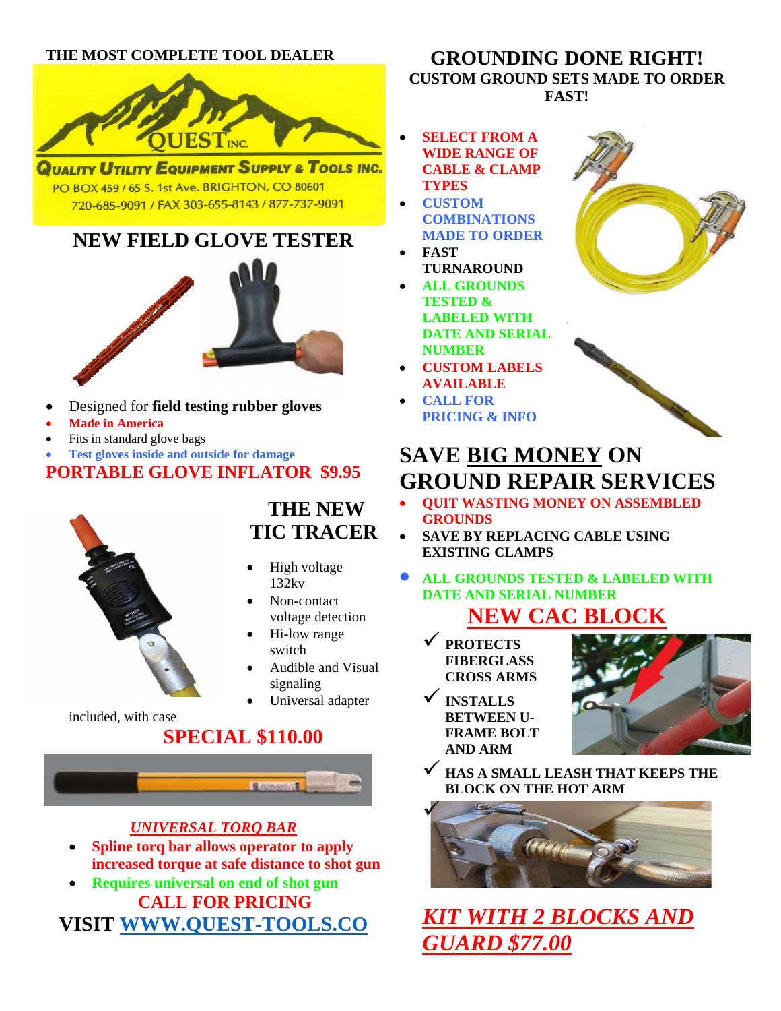#### **THE MOST COMPLETE TOOL DEALER**



QUALITY UTILITY EQUIPMENT SUPPLY & TOOLS INC. PO BOX 459 / 65 S. 1st Ave. BRIGHTON, CO 80601 720-685-9091 / FAX 303-655-8143 / 877-737-9091

# **NEW FIELD GLOVE TESTER**



- Designed for **field testing rubber gloves**
- **Made in America**
- Fits in standard glove bags
- **Test gloves inside and outside for damage**

### **PORTABLE GLOVE INFLATOR \$9.95**



## **THE NEW TIC TRACER**

- High voltage 132kv
- Non-contact voltage detection
- Hi-low range switch
- Audible and Visual signaling
- Universal adapter

#### included, with case  **SPECIAL \$110.00**



#### *UNIVERSAL TORQ BAR*

- **Spline torq bar allows operator to apply increased torque at safe distance to shot gun**
- **Requires universal on end of shot gun CALL FOR PRICING VISIT WWW.QUEST-TOOLS.CO**

#### **GROUNDING DONE RIGHT! CUSTOM GROUND SETS MADE TO ORDER FAST!**

- **SELECT FROM A WIDE RANGE OF CABLE & CLAMP TYPES**
- **CUSTOM COMBINATIONS MADE TO ORDER**
- **FAST TURNAROUND**
- **ALL GROUNDS TESTED & LABELED WITH DATE AND SERIAL NUMBER**
- **CUSTOM LABELS AVAILABLE**
- **CALL FOR PRICING & INFO**



# **SAVE BIG MONEY ON GROUND REPAIR SERVICES**

- **QUIT WASTING MONEY ON ASSEMBLED GROUNDS**
- **SAVE BY REPLACING CABLE USING EXISTING CLAMPS**
- **ALL GROUNDS TESTED & LABELED WITH DATE AND SERIAL NUMBER**

# **NEW CAC B**

- 9 **PROTECTS FIBERGLASS CROSS ARMS**
- 9 **INSTALLS BETWEEN U-FRAME BOLT AND ARM**



9 **HAS A SMALL LEASH THAT KEEPS THE BLOCK ON THE HOT ARM**



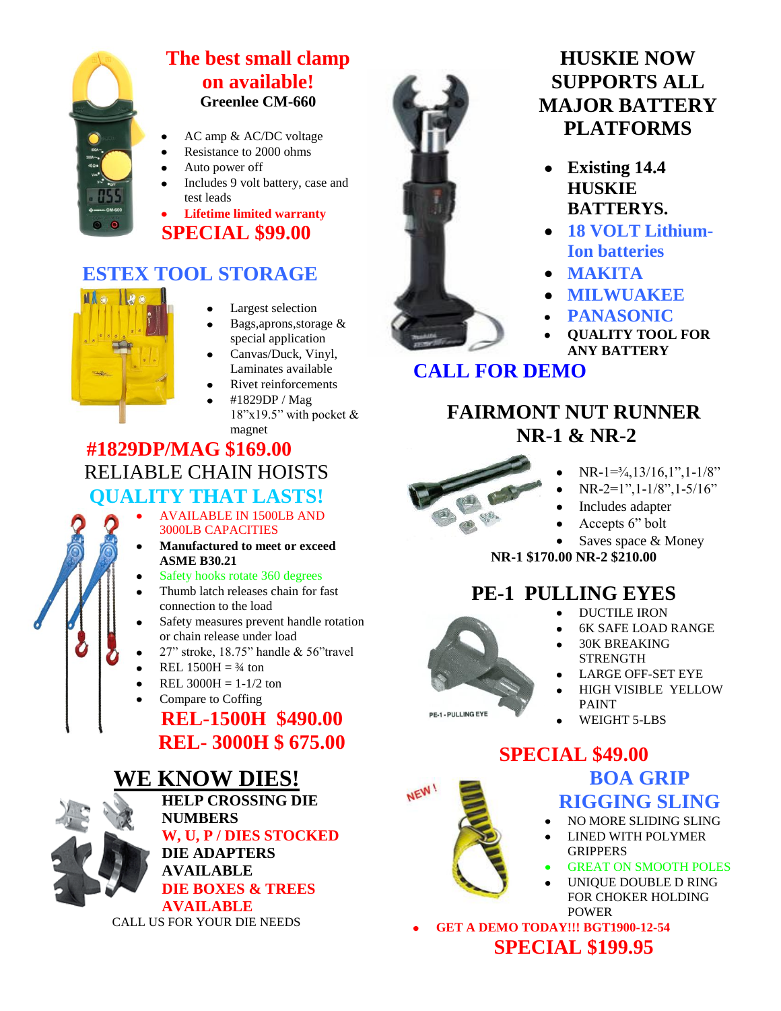

#### **The best small clamp on available! Greenlee CM-660**

- AC amp & AC/DC voltage
- Resistance to 2000 ohms
- Auto power off
- Includes 9 volt battery, case and test leads

**Lifetime limited warranty SPECIAL \$99.00**

## **ESTEX TOOL STORAGE**



- Largest selection
- Bags,aprons,storage & special application
- Canvas/Duck, Vinyl, Laminates available
- Rivet reinforcements
	- #1829DP / Mag 18"x19.5" with pocket & magnet

### **#1829DP/MAG \$169.00** RELIABLE CHAIN HOISTS **QUALITY THAT LASTS!**

- AVAILABLE IN 1500LB AND 3000LB CAPACITIES
- **Manufactured to meet or exceed ASME B30.21**
- Safety hooks rotate 360 degrees
- Thumb latch releases chain for fast connection to the load
- Safety measures prevent handle rotation or chain release under load
- 27" stroke, 18.75" handle & 56"travel
- REL  $1500H = 3/4$  ton
- REL  $3000H = 1-1/2$  ton
- Compare to Coffing

## **REL-1500H \$490.00 REL- 3000H \$ 675.00**

# **WE KNOW DIES!**



**HELP CROSSING DIE NUMBERS W, U, P / DIES STOCKED DIE ADAPTERS AVAILABLE DIE BOXES & TREES AVAILABLE** CALL US FOR YOUR DIE NEEDS



## **HUSKIE NOW SUPPORTS ALL MAJOR BATTERY PLATFORMS**

- **Existing 14.4**   $\bullet$ **HUSKIE BATTERYS.**
- **18 VOLT Lithium-Ion batteries**
- **MAKITA**
- **MILWUAKEE**
- **PANASONIC**
- **QUALITY TOOL FOR ANY BATTERY**

### **CALL FOR DEMO**

## **FAIRMONT NUT RUNNER NR-1 & NR-2**



- $NR-1=3/4,13/16,1",1-1/8"$
- NR-2=1", 1-1/8", 1-5/16"
- Includes adapter
- Accepts 6" bolt  $\bullet$
- Saves space & Money

**NR-1 \$170.00 NR-2 \$210.00**

# **PE-1 PULLING EYES**

- DUCTILE IRON  $\bullet$
- 6K SAFE LOAD RANGE
- 30K BREAKING **STRENGTH**
- LARGE OFF-SET EYE
- HIGH VISIBLE YELLOW PAINT
- WEIGHT 5-LBS



**PE-1 - PULLING EYE** 

- **SPECIAL \$49.00 BOA GRIP RIGGING SLING**
	- NO MORE SLIDING SLING
	- LINED WITH POLYMER **GRIPPERS**
	- GREAT ON SMOOTH POLES
	- UNIQUE DOUBLE D RING FOR CHOKER HOLDING POWER

**GET A DEMO TODAY!!! BGT1900-12-54 SPECIAL \$199.95**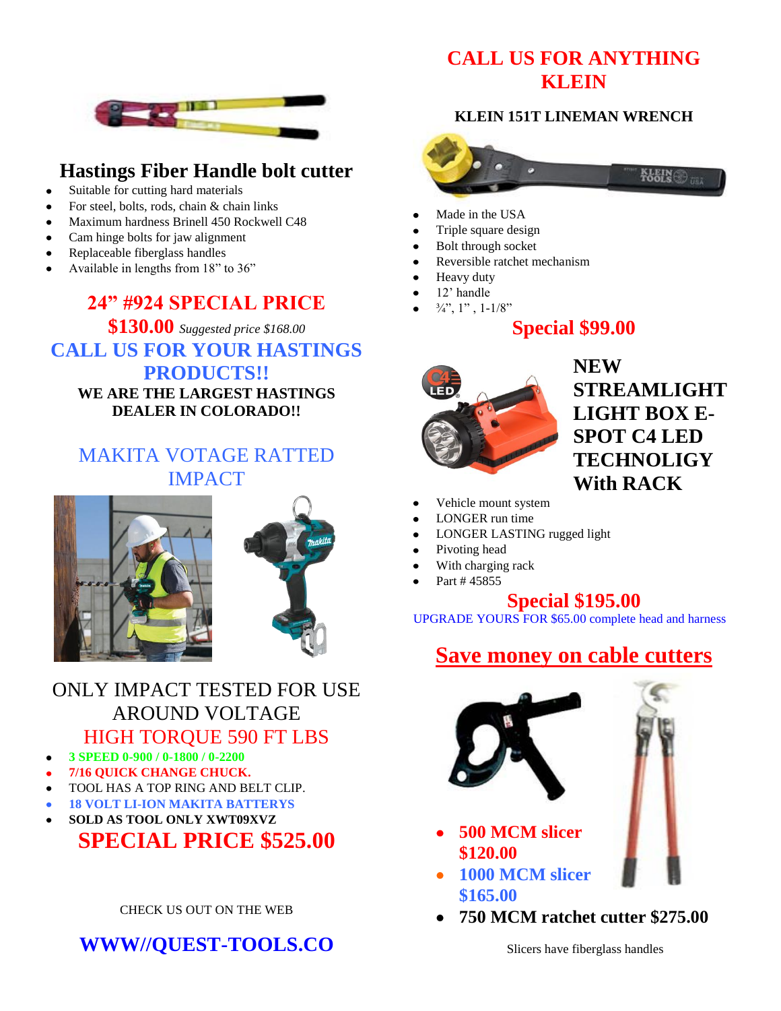### **CALL US FOR ANYTHING KLEIN**



## **Hastings Fiber Handle bolt cutter**

- Suitable for cutting hard materials
- For steel, bolts, rods, chain & chain links
- Maximum hardness Brinell 450 Rockwell C48
- Cam hinge bolts for jaw alignment
- Replaceable fiberglass handles
- Available in lengths from 18" to 36"

### **24" #924 SPECIAL PRICE**

**\$130.00** *Suggested price \$168.00* **CALL US FOR YOUR HASTINGS PRODUCTS!! WE ARE THE LARGEST HASTINGS DEALER IN COLORADO!!** 

## MAKITA VOTAGE RATTED IMPACT





### ONLY IMPACT TESTED FOR USE AROUND VOLTAGE HIGH TORQUE 590 FT LBS

- **3 SPEED 0-900 / 0-1800 / 0-2200**
- **7/16 QUICK CHANGE CHUCK.**
- TOOL HAS A TOP RING AND BELT CLIP.
- **18 VOLT LI-ION MAKITA BATTERYS**
- **SOLD AS TOOL ONLY XWT09XVZ**

# **SPECIAL PRICE \$525.00**

#### CHECK US OUT ON THE WEB

**WWW//QUEST-TOOLS.CO**

#### **KLEIN 151T LINEMAN WRENCH**



- Made in the USA
- Triple square design
- Bolt through socket
- Reversible ratchet mechanism
- Heavy duty
- 12' handle
- $\frac{3}{4}$ ", 1", 1-1/8"

#### **Special \$99.00**



**NEW STREAMLIGHT LIGHT BOX E-SPOT C4 LED TECHNOLIGY With RACK**

- Vehicle mount system
- LONGER run time
- LONGER LASTING rugged light
- Pivoting head
- With charging rack
- Part # 45855

#### **Special \$195.00**

UPGRADE YOURS FOR \$65.00 complete head and harness

## **Save money on cable cutters**



- **500 MCM slicer \$120.00**
- **1000 MCM slicer \$165.00**
- **750 MCM ratchet cutter \$275.00**